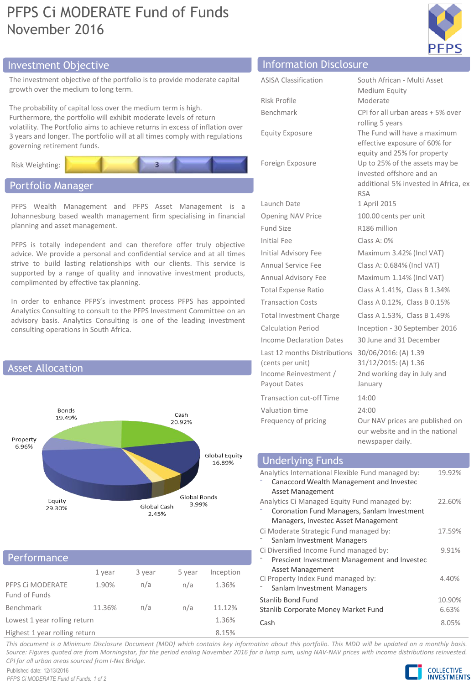## PFPS Ci MODERATE Fund of Funds November 2016



## Investment Objective Information Disclosure

The investment objective of the portfolio is to provide moderate capital growth over the medium to long term.

The probability of capital loss over the medium term is high. Furthermore, the portfolio will exhibit moderate levels of return volatility. The Portfolio aims to achieve returns in excess of inflation over 3 years and longer. The portfolio will at all times comply with regulations governing retirement funds.



## Portfolio Manager

PFPS Wealth Management and PFPS Asset Management is a Johannesburg based wealth management firm specialising in financial planning and asset management.

PFPS is totally independent and can therefore offer truly objective advice. We provide a personal and confidential service and at all times strive to build lasting relationships with our clients. This service is supported by a range of quality and innovative investment products, complimented by effective tax planning.

In order to enhance PFPS's investment process PFPS has appointed Analytics Consulting to consult to the PFPS Investment Committee on an advisory basis. Analytics Consulting is one of the leading investment consulting operations in South Africa.



### **Performance**

|                                   | 1 year | 3 year | 5 year | Inception |  |
|-----------------------------------|--------|--------|--------|-----------|--|
| PFPS CI MODERATE<br>Fund of Funds | 1.90%  | n/a    | n/a    | 1.36%     |  |
| Benchmark                         | 11.36% | n/a    | n/a    | 11.12%    |  |
| Lowest 1 year rolling return      |        |        |        | 1.36%     |  |
| Highest 1 year rolling return     |        |        |        | 8.15%     |  |

| <b>ASISA Classification</b>                      | South African - Multi Asset<br>Medium Equity                                                                     |
|--------------------------------------------------|------------------------------------------------------------------------------------------------------------------|
| Risk Profile                                     | Moderate                                                                                                         |
| <b>Benchmark</b>                                 | CPI for all urban areas + 5% over<br>rolling 5 years                                                             |
| <b>Equity Exposure</b>                           | The Fund will have a maximum<br>effective exposure of 60% for<br>equity and 25% for property                     |
| Foreign Exposure                                 | Up to 25% of the assets may be<br>invested offshore and an<br>additional 5% invested in Africa, ex<br><b>RSA</b> |
| Launch Date                                      | 1 April 2015                                                                                                     |
| <b>Opening NAV Price</b>                         | 100.00 cents per unit                                                                                            |
| Fund Size                                        | R186 million                                                                                                     |
| Initial Fee                                      | Class A: $0\%$                                                                                                   |
| Initial Advisory Fee                             | Maximum 3.42% (Incl VAT)                                                                                         |
| Annual Service Fee                               | Class A: 0.684% (Incl VAT)                                                                                       |
| Annual Advisory Fee                              | Maximum 1.14% (Incl VAT)                                                                                         |
| <b>Total Expense Ratio</b>                       | Class A 1.41%, Class B 1.34%                                                                                     |
| <b>Transaction Costs</b>                         | Class A 0.12%, Class B 0.15%                                                                                     |
| <b>Total Investment Charge</b>                   | Class A 1.53%, Class B 1.49%                                                                                     |
| Calculation Period                               | Inception - 30 September 2016                                                                                    |
| Income Declaration Dates                         | 30 June and 31 December                                                                                          |
| Last 12 months Distributions<br>(cents per unit) | 30/06/2016: (A) 1.39<br>31/12/2015: (A) 1.36                                                                     |
| Income Reinvestment /<br>Payout Dates            | 2nd working day in July and<br>January                                                                           |
| <b>Transaction cut-off Time</b>                  | 14:00                                                                                                            |
| Valuation time                                   | 24:00                                                                                                            |
| Frequency of pricing                             | Our NAV prices are published on<br>our website and in the national                                               |

#### Analytics International Flexible Fund managed by: ⁻ Canaccord Wealth Management and Investec Asset Management 19.92% Analytics Ci Managed Equity Fund managed by: ⁻ Coronation Fund Managers, Sanlam Investment Managers, Investec Asset Management 22.60% Ci Moderate Strategic Fund managed by: Sanlam Investment Managers 17.59% Ci Diversified Income Fund managed by: ⁻ Prescient Investment Management and Investec Asset Management 9.91% Ci Property Index Fund managed by: Sanlam Investment Managers 4.40% Stanlib Bond Fund 10.90% Stanlib Corporate Money Market Fund 6.63% Cash 8.05% Underlying Funds

newspaper daily.

This document is a Minimum Disclosure Document (MDD) which contains key information about this portfolio. This MDD will be updated on a monthly basis. Source: Figures guoted are from Morningstar, for the period ending November 2016 for a lump sum, using NAV-NAV prices with income distributions reinvested. *CPI for all urban areas sourced from I-Net Bridge.*

Published date: 12/13/2016 *PFPS Ci MODERATE Fund of Funds: 1 of 2*